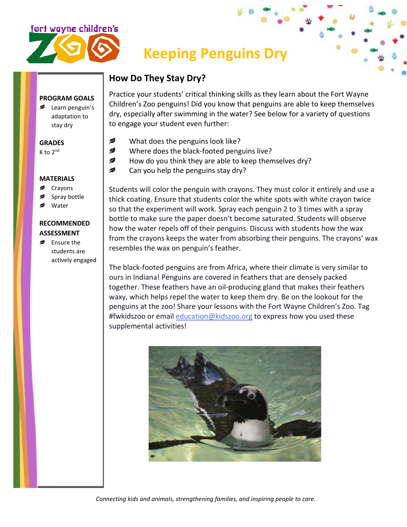

# **Keeping Penguins Dry**

## **How Do They Stay Dry?**

**PROGRAM GOALS**

**Example 19 Learn penguin's** adaptation to stay dry

### **GRADES**

K to  $2^{nd}$ 

#### **MATERIALS**

- **Crayons**
- Spray bottle
- Water

#### **RECOMMENDED ASSESSMENT**

**Ensure the** students are actively engaged

Practice your students' critical thinking skills as they learn about the Fort Wayne Children's Zoo penguins! Did you know that penguins are able to keep themselves dry, especially after swimming in the water? See below for a variety of questions to engage your student even further:

- What does the penguins look like? Ø
- Ø Where does the black-footed penguins live?
- Ø How do you think they are able to keep themselves dry?
- € Can you help the penguins stay dry?

Students will color the penguin with crayons. They must color it entirely and use a thick coating. Ensure that students color the white spots with white crayon twice so that the experiment will work. Spray each penguin 2 to 3 times with a spray bottle to make sure the paper doesn't become saturated. Students will observe how the water repels off of their penguins. Discuss with students how the wax from the crayons keeps the water from absorbing their penguins. The crayons' wax resembles the wax on penguin's feather.

The black-footed penguins are from Africa, where their climate is very similar to ours in Indiana! Penguins are covered in feathers that are densely packed together. These feathers have an oil-producing gland that makes their feathers waxy, which helps repel the water to keep them dry. Be on the lookout for the penguins at the zoo! Share your lessons with the Fort Wayne Children's Zoo. Tag #fwkidszoo or email [education@kidszoo.org](mailto:education@kidszoo.org) to express how you used these supplemental activities!